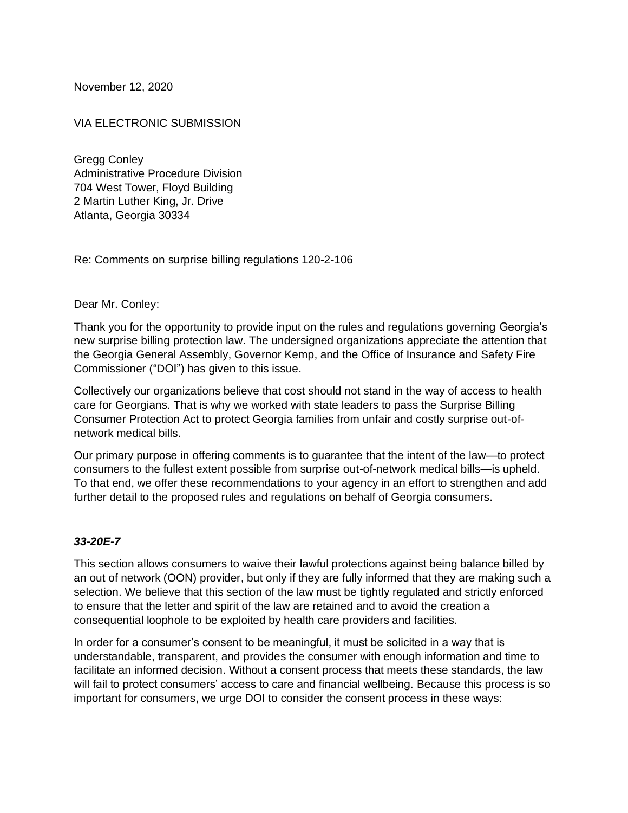November 12, 2020

VIA ELECTRONIC SUBMISSION

Gregg Conley Administrative Procedure Division 704 West Tower, Floyd Building 2 Martin Luther King, Jr. Drive Atlanta, Georgia 30334

Re: Comments on surprise billing regulations 120-2-106

### Dear Mr. Conley:

Thank you for the opportunity to provide input on the rules and regulations governing Georgia's new surprise billing protection law. The undersigned organizations appreciate the attention that the Georgia General Assembly, Governor Kemp, and the Office of Insurance and Safety Fire Commissioner ("DOI") has given to this issue.

Collectively our organizations believe that cost should not stand in the way of access to health care for Georgians. That is why we worked with state leaders to pass the Surprise Billing Consumer Protection Act to protect Georgia families from unfair and costly surprise out-ofnetwork medical bills.

Our primary purpose in offering comments is to guarantee that the intent of the law—to protect consumers to the fullest extent possible from surprise out-of-network medical bills—is upheld. To that end, we offer these recommendations to your agency in an effort to strengthen and add further detail to the proposed rules and regulations on behalf of Georgia consumers.

# *33-20E-7*

This section allows consumers to waive their lawful protections against being balance billed by an out of network (OON) provider, but only if they are fully informed that they are making such a selection. We believe that this section of the law must be tightly regulated and strictly enforced to ensure that the letter and spirit of the law are retained and to avoid the creation a consequential loophole to be exploited by health care providers and facilities.

In order for a consumer's consent to be meaningful, it must be solicited in a way that is understandable, transparent, and provides the consumer with enough information and time to facilitate an informed decision. Without a consent process that meets these standards, the law will fail to protect consumers' access to care and financial wellbeing. Because this process is so important for consumers, we urge DOI to consider the consent process in these ways: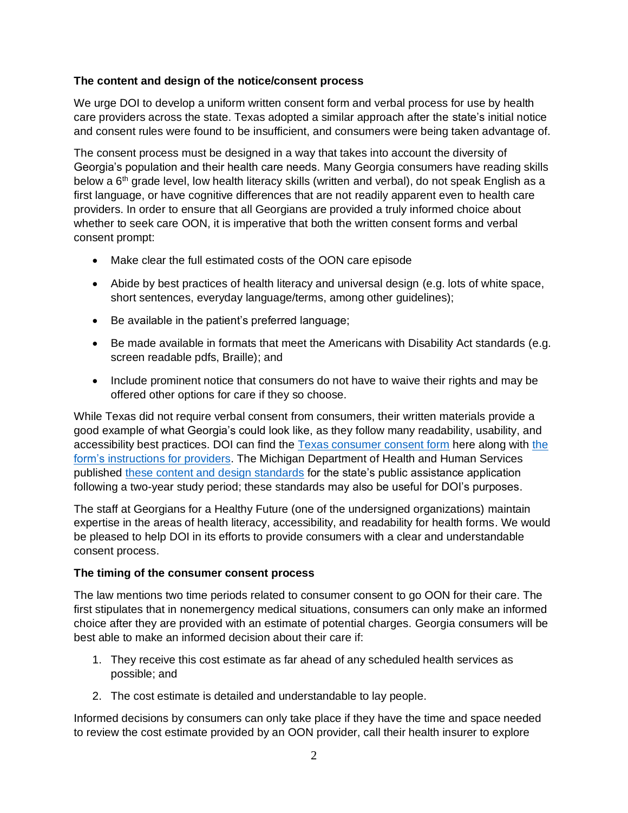## **The content and design of the notice/consent process**

We urge DOI to develop a uniform written consent form and verbal process for use by health care providers across the state. Texas adopted a similar approach after the state's initial notice and consent rules were found to be insufficient, and consumers were being taken advantage of.

The consent process must be designed in a way that takes into account the diversity of Georgia's population and their health care needs. Many Georgia consumers have reading skills below a  $6<sup>th</sup>$  grade level, low health literacy skills (written and verbal), do not speak English as a first language, or have cognitive differences that are not readily apparent even to health care providers. In order to ensure that all Georgians are provided a truly informed choice about whether to seek care OON, it is imperative that both the written consent forms and verbal consent prompt:

- Make clear the full estimated costs of the OON care episode
- Abide by best practices of health literacy and universal design (e.g. lots of white space, short sentences, everyday language/terms, among other guidelines);
- Be available in the patient's preferred language;
- Be made available in formats that meet the Americans with Disability Act standards (e.g. screen readable pdfs, Braille); and
- Include prominent notice that consumers do not have to waive their rights and may be offered other options for care if they so choose.

While Texas did not require verbal consent from consumers, their written materials provide a good example of what Georgia's could look like, as they follow many readability, usability, and accessibility best practices. DOI can find the [Texas consumer consent form](https://www.tdi.texas.gov/rules/2019/documents/20196181abr.pdf) here along with [the](https://www.tdi.texas.gov/forms/lhlifehealth/ah025.pdf)  [form's instructions for providers.](https://www.tdi.texas.gov/forms/lhlifehealth/ah025.pdf) The Michigan Department of Health and Human Services published [these content and design standards](https://s3files.core77.com/files/pdfs/2019/86102/905702_woyqpvNp8.pdf) for the state's public assistance application following a two-year study period; these standards may also be useful for DOI's purposes.

The staff at Georgians for a Healthy Future (one of the undersigned organizations) maintain expertise in the areas of health literacy, accessibility, and readability for health forms. We would be pleased to help DOI in its efforts to provide consumers with a clear and understandable consent process.

## **The timing of the consumer consent process**

The law mentions two time periods related to consumer consent to go OON for their care. The first stipulates that in nonemergency medical situations, consumers can only make an informed choice after they are provided with an estimate of potential charges. Georgia consumers will be best able to make an informed decision about their care if:

- 1. They receive this cost estimate as far ahead of any scheduled health services as possible; and
- 2. The cost estimate is detailed and understandable to lay people.

Informed decisions by consumers can only take place if they have the time and space needed to review the cost estimate provided by an OON provider, call their health insurer to explore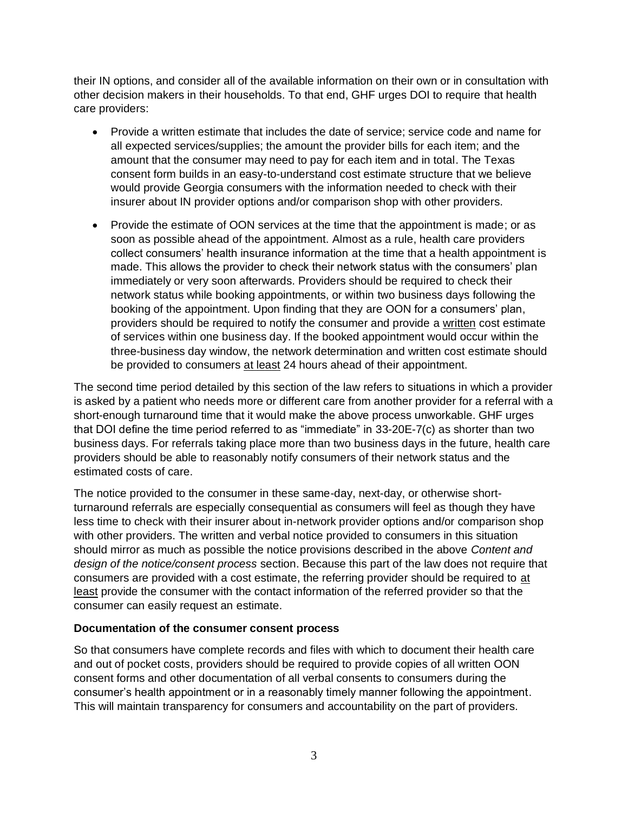their IN options, and consider all of the available information on their own or in consultation with other decision makers in their households. To that end, GHF urges DOI to require that health care providers:

- Provide a written estimate that includes the date of service; service code and name for all expected services/supplies; the amount the provider bills for each item; and the amount that the consumer may need to pay for each item and in total. The Texas consent form builds in an easy-to-understand cost estimate structure that we believe would provide Georgia consumers with the information needed to check with their insurer about IN provider options and/or comparison shop with other providers.
- Provide the estimate of OON services at the time that the appointment is made; or as soon as possible ahead of the appointment. Almost as a rule, health care providers collect consumers' health insurance information at the time that a health appointment is made. This allows the provider to check their network status with the consumers' plan immediately or very soon afterwards. Providers should be required to check their network status while booking appointments, or within two business days following the booking of the appointment. Upon finding that they are OON for a consumers' plan, providers should be required to notify the consumer and provide a written cost estimate of services within one business day. If the booked appointment would occur within the three-business day window, the network determination and written cost estimate should be provided to consumers at least 24 hours ahead of their appointment.

The second time period detailed by this section of the law refers to situations in which a provider is asked by a patient who needs more or different care from another provider for a referral with a short-enough turnaround time that it would make the above process unworkable. GHF urges that DOI define the time period referred to as "immediate" in 33-20E-7(c) as shorter than two business days. For referrals taking place more than two business days in the future, health care providers should be able to reasonably notify consumers of their network status and the estimated costs of care.

The notice provided to the consumer in these same-day, next-day, or otherwise shortturnaround referrals are especially consequential as consumers will feel as though they have less time to check with their insurer about in-network provider options and/or comparison shop with other providers. The written and verbal notice provided to consumers in this situation should mirror as much as possible the notice provisions described in the above *Content and design of the notice/consent process* section. Because this part of the law does not require that consumers are provided with a cost estimate, the referring provider should be required to at least provide the consumer with the contact information of the referred provider so that the consumer can easily request an estimate.

### **Documentation of the consumer consent process**

So that consumers have complete records and files with which to document their health care and out of pocket costs, providers should be required to provide copies of all written OON consent forms and other documentation of all verbal consents to consumers during the consumer's health appointment or in a reasonably timely manner following the appointment. This will maintain transparency for consumers and accountability on the part of providers.